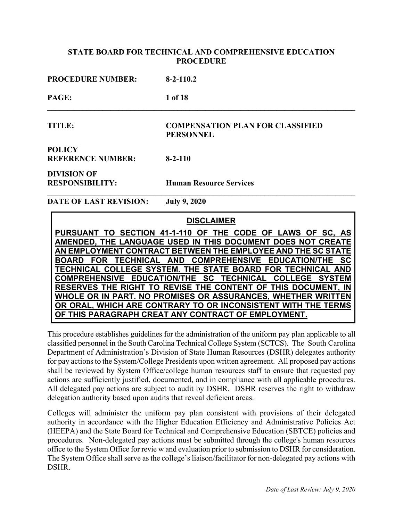| <b>PROCEDURE NUMBER:</b> | $8 - 2 - 110.2$                                             |
|--------------------------|-------------------------------------------------------------|
| PAGE:                    | 1 of 18                                                     |
| TITLE:                   | <b>COMPENSATION PLAN FOR CLASSIFIED</b><br><b>PERSONNEL</b> |
| <b>POLICY</b>            |                                                             |
| <b>REFERENCE NUMBER:</b> | $8 - 2 - 110$                                               |
| <b>DIVISION OF</b>       |                                                             |
| <b>RESPONSIBILITY:</b>   | <b>Human Resource Services</b>                              |
| DATE OF LAST REVISION:   | <b>July 9, 2020</b>                                         |

 **DISCLAIMER PURSUANT TO SECTION 41-1-110 OF THE CODE OF LAWS OF SC, AS AMENDED, THE LANGUAGE USED IN THIS DOCUMENT DOES NOT CREATE AN EMPLOYMENT CONTRACT BETWEEN THE EMPLOYEE AND THE SC STATE BOARD FOR TECHNICAL AND COMPREHENSIVE EDUCATION/THE SC TECHNICAL COLLEGE SYSTEM. THE STATE BOARD FOR TECHNICAL AND COMPREHENSIVE EDUCATION/THE SC TECHNICAL COLLEGE SYSTEM RESERVES THE RIGHT TO REVISE THE CONTENT OF THIS DOCUMENT, IN WHOLE OR IN PART. NO PROMISES OR ASSURANCES, WHETHER WRITTEN OR ORAL, WHICH ARE CONTRARY TO OR INCONSISTENT WITH THE TERMS OF THIS PARAGRAPH CREAT ANY CONTRACT OF EMPLOYMENT.**

This procedure establishes guidelines for the administration of the uniform pay plan applicable to all classified personnel in the South Carolina Technical College System (SCTCS). The South Carolina Department of Administration's Division of State Human Resources (DSHR) delegates authority for pay actions to the System/College Presidents upon written agreement. All proposed pay actions shall be reviewed by System Office/college human resources staff to ensure that requested pay actions are sufficiently justified, documented, and in compliance with all applicable procedures. All delegated pay actions are subject to audit by DSHR. DSHR reserves the right to withdraw delegation authority based upon audits that reveal deficient areas.

Colleges will administer the uniform pay plan consistent with provisions of their delegated authority in accordance with the Higher Education Efficiency and Administrative Policies Act (HEEPA) and the State Board for Technical and Comprehensive Education (SBTCE) policies and procedures. Non-delegated pay actions must be submitted through the college's human resources office to the System Office for revie w and evaluation prior to submission to DSHR for consideration. The System Office shall serve as the college's liaison/facilitator for non-delegated pay actions with DSHR.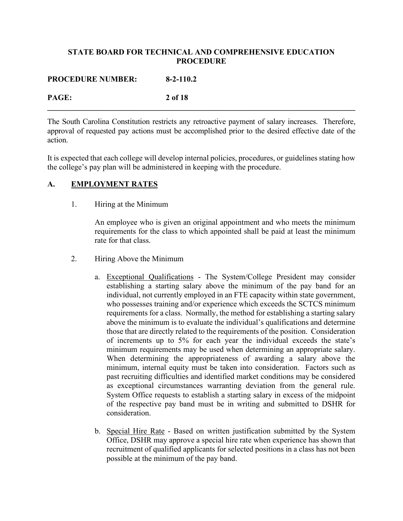**PROCEDURE NUMBER: 8-2-110.2**

**PAGE: 2 of 18**

The South Carolina Constitution restricts any retroactive payment of salary increases. Therefore, approval of requested pay actions must be accomplished prior to the desired effective date of the action.

**\_\_\_\_\_\_\_\_\_\_\_\_\_\_\_\_\_\_\_\_\_\_\_\_\_\_\_\_\_\_\_\_\_\_\_\_\_\_\_\_\_\_\_\_\_\_\_\_\_\_\_\_\_\_\_\_\_\_\_\_\_\_\_\_\_\_\_\_\_\_\_\_\_\_\_\_\_\_**

It is expected that each college will develop internal policies, procedures, or guidelines stating how the college's pay plan will be administered in keeping with the procedure.

# **A. EMPLOYMENT RATES**

1. Hiring at the Minimum

An employee who is given an original appointment and who meets the minimum requirements for the class to which appointed shall be paid at least the minimum rate for that class.

- 2. Hiring Above the Minimum
	- a. Exceptional Qualifications The System/College President may consider establishing a starting salary above the minimum of the pay band for an individual, not currently employed in an FTE capacity within state government, who possesses training and/or experience which exceeds the SCTCS minimum requirements for a class. Normally, the method for establishing a starting salary above the minimum is to evaluate the individual's qualifications and determine those that are directly related to the requirements of the position. Consideration of increments up to 5% for each year the individual exceeds the state's minimum requirements may be used when determining an appropriate salary. When determining the appropriateness of awarding a salary above the minimum, internal equity must be taken into consideration. Factors such as past recruiting difficulties and identified market conditions may be considered as exceptional circumstances warranting deviation from the general rule. System Office requests to establish a starting salary in excess of the midpoint of the respective pay band must be in writing and submitted to DSHR for consideration.
	- b. Special Hire Rate Based on written justification submitted by the System Office, DSHR may approve a special hire rate when experience has shown that recruitment of qualified applicants for selected positions in a class has not been possible at the minimum of the pay band.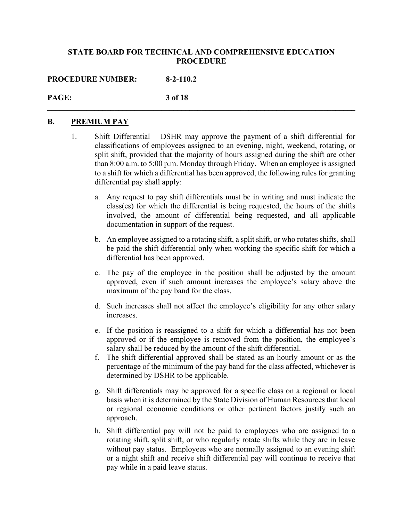**\_\_\_\_\_\_\_\_\_\_\_\_\_\_\_\_\_\_\_\_\_\_\_\_\_\_\_\_\_\_\_\_\_\_\_\_\_\_\_\_\_\_\_\_\_\_\_\_\_\_\_\_\_\_\_\_\_\_\_\_\_\_\_\_\_\_\_\_\_\_\_\_\_\_\_\_\_\_**

**PROCEDURE NUMBER: 8-2-110.2**

# **PAGE: 3 of 18**

## **B. PREMIUM PAY**

- 1. Shift Differential DSHR may approve the payment of a shift differential for classifications of employees assigned to an evening, night, weekend, rotating, or split shift, provided that the majority of hours assigned during the shift are other than 8:00 a.m. to 5:00 p.m. Monday through Friday. When an employee is assigned to a shift for which a differential has been approved, the following rules for granting differential pay shall apply:
	- a. Any request to pay shift differentials must be in writing and must indicate the class(es) for which the differential is being requested, the hours of the shifts involved, the amount of differential being requested, and all applicable documentation in support of the request.
	- b. An employee assigned to a rotating shift, a split shift, or who rotates shifts, shall be paid the shift differential only when working the specific shift for which a differential has been approved.
	- c. The pay of the employee in the position shall be adjusted by the amount approved, even if such amount increases the employee's salary above the maximum of the pay band for the class.
	- d. Such increases shall not affect the employee's eligibility for any other salary increases.
	- e. If the position is reassigned to a shift for which a differential has not been approved or if the employee is removed from the position, the employee's salary shall be reduced by the amount of the shift differential.
	- f. The shift differential approved shall be stated as an hourly amount or as the percentage of the minimum of the pay band for the class affected, whichever is determined by DSHR to be applicable.
	- g. Shift differentials may be approved for a specific class on a regional or local basis when it is determined by the State Division of Human Resources that local or regional economic conditions or other pertinent factors justify such an approach.
	- h. Shift differential pay will not be paid to employees who are assigned to a rotating shift, split shift, or who regularly rotate shifts while they are in leave without pay status. Employees who are normally assigned to an evening shift or a night shift and receive shift differential pay will continue to receive that pay while in a paid leave status.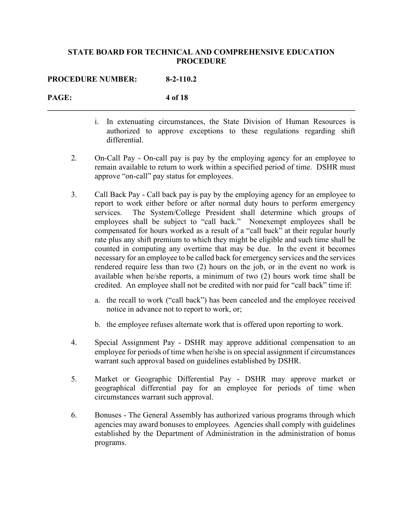**\_\_\_\_\_\_\_\_\_\_\_\_\_\_\_\_\_\_\_\_\_\_\_\_\_\_\_\_\_\_\_\_\_\_\_\_\_\_\_\_\_\_\_\_\_\_\_\_\_\_\_\_\_\_\_\_\_\_\_\_\_\_\_\_\_\_\_\_\_\_\_\_\_\_\_\_\_\_**

**PROCEDURE NUMBER: 8-2-110.2**

# **PAGE: 4 of 18**

- i. In extenuating circumstances, the State Division of Human Resources is authorized to approve exceptions to these regulations regarding shift differential.
- 2. On-Call Pay On-call pay is pay by the employing agency for an employee to remain available to return to work within a specified period of time. DSHR must approve "on-call" pay status for employees.
- 3. Call Back Pay Call back pay is pay by the employing agency for an employee to report to work either before or after normal duty hours to perform emergency services. The System/College President shall determine which groups of employees shall be subject to "call back." Nonexempt employees shall be compensated for hours worked as a result of a "call back" at their regular hourly rate plus any shift premium to which they might be eligible and such time shall be counted in computing any overtime that may be due. In the event it becomes necessary for an employee to be called back for emergency services and the services rendered require less than two (2) hours on the job, or in the event no work is available when he/she reports, a minimum of two (2) hours work time shall be credited. An employee shall not be credited with nor paid for "call back" time if:
	- a. the recall to work ("call back") has been canceled and the employee received notice in advance not to report to work, or;
	- b. the employee refuses alternate work that is offered upon reporting to work.
- 4. Special Assignment Pay DSHR may approve additional compensation to an employee for periods of time when he/she is on special assignment if circumstances warrant such approval based on guidelines established by DSHR.
- 5. Market or Geographic Differential Pay DSHR may approve market or geographical differential pay for an employee for periods of time when circumstances warrant such approval.
- 6. Bonuses The General Assembly has authorized various programs through which agencies may award bonuses to employees. Agencies shall comply with guidelines established by the Department of Administration in the administration of bonus programs.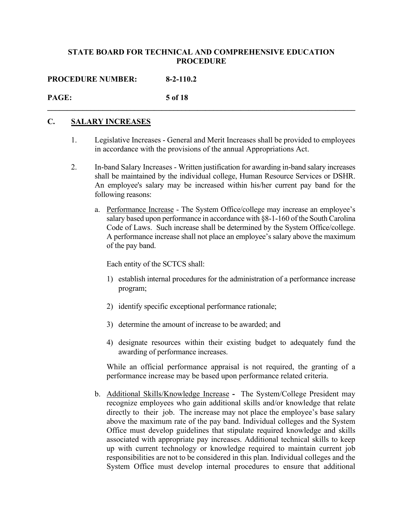**\_\_\_\_\_\_\_\_\_\_\_\_\_\_\_\_\_\_\_\_\_\_\_\_\_\_\_\_\_\_\_\_\_\_\_\_\_\_\_\_\_\_\_\_\_\_\_\_\_\_\_\_\_\_\_\_\_\_\_\_\_\_\_\_\_\_\_\_\_\_\_\_\_\_\_\_\_\_**

**PROCEDURE NUMBER: 8-2-110.2**

# **PAGE: 5 of 18**

# **C. SALARY INCREASES**

- 1. Legislative Increases General and Merit Increases shall be provided to employees in accordance with the provisions of the annual Appropriations Act.
- 2. In-band Salary Increases Written justification for awarding in-band salary increases shall be maintained by the individual college, Human Resource Services or DSHR. An employee's salary may be increased within his/her current pay band for the following reasons:
	- a. Performance Increase The System Office/college may increase an employee's salary based upon performance in accordance with §8-1-160 of the South Carolina Code of Laws. Such increase shall be determined by the System Office/college. A performance increase shall not place an employee's salary above the maximum of the pay band.

Each entity of the SCTCS shall:

- 1) establish internal procedures for the administration of a performance increase program;
- 2) identify specific exceptional performance rationale;
- 3) determine the amount of increase to be awarded; and
- 4) designate resources within their existing budget to adequately fund the awarding of performance increases.

While an official performance appraisal is not required, the granting of a performance increase may be based upon performance related criteria.

b. Additional Skills/Knowledge Increase **-** The System/College President may recognize employees who gain additional skills and/or knowledge that relate directly to their job. The increase may not place the employee's base salary above the maximum rate of the pay band. Individual colleges and the System Office must develop guidelines that stipulate required knowledge and skills associated with appropriate pay increases. Additional technical skills to keep up with current technology or knowledge required to maintain current job responsibilities are not to be considered in this plan. Individual colleges and the System Office must develop internal procedures to ensure that additional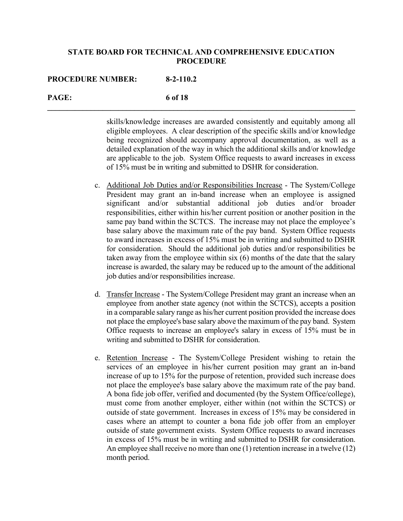**\_\_\_\_\_\_\_\_\_\_\_\_\_\_\_\_\_\_\_\_\_\_\_\_\_\_\_\_\_\_\_\_\_\_\_\_\_\_\_\_\_\_\_\_\_\_\_\_\_\_\_\_\_\_\_\_\_\_\_\_\_\_\_\_\_\_\_\_\_\_\_\_\_\_\_\_\_\_**

#### **PROCEDURE NUMBER: 8-2-110.2**

## **PAGE: 6 of 18**

skills/knowledge increases are awarded consistently and equitably among all eligible employees. A clear description of the specific skills and/or knowledge being recognized should accompany approval documentation, as well as a detailed explanation of the way in which the additional skills and/or knowledge are applicable to the job. System Office requests to award increases in excess of 15% must be in writing and submitted to DSHR for consideration.

- c. Additional Job Duties and/or Responsibilities Increase The System/College President may grant an in-band increase when an employee is assigned significant and/or substantial additional job duties and/or broader responsibilities, either within his/her current position or another position in the same pay band within the SCTCS. The increase may not place the employee's base salary above the maximum rate of the pay band. System Office requests to award increases in excess of 15% must be in writing and submitted to DSHR for consideration. Should the additional job duties and/or responsibilities be taken away from the employee within six (6) months of the date that the salary increase is awarded, the salary may be reduced up to the amount of the additional job duties and/or responsibilities increase.
- d. Transfer Increase The System/College President may grant an increase when an employee from another state agency (not within the SCTCS), accepts a position in a comparable salary range as his/her current position provided the increase does not place the employee's base salary above the maximum of the pay band. System Office requests to increase an employee's salary in excess of 15% must be in writing and submitted to DSHR for consideration.
- e. Retention Increase The System/College President wishing to retain the services of an employee in his/her current position may grant an in-band increase of up to 15% for the purpose of retention, provided such increase does not place the employee's base salary above the maximum rate of the pay band. A bona fide job offer, verified and documented (by the System Office/college), must come from another employer, either within (not within the SCTCS) or outside of state government. Increases in excess of 15% may be considered in cases where an attempt to counter a bona fide job offer from an employer outside of state government exists. System Office requests to award increases in excess of 15% must be in writing and submitted to DSHR for consideration. An employee shall receive no more than one (1) retention increase in a twelve (12) month period.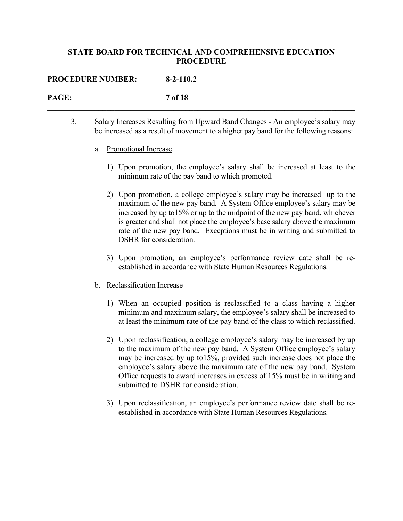**\_\_\_\_\_\_\_\_\_\_\_\_\_\_\_\_\_\_\_\_\_\_\_\_\_\_\_\_\_\_\_\_\_\_\_\_\_\_\_\_\_\_\_\_\_\_\_\_\_\_\_\_\_\_\_\_\_\_\_\_\_\_\_\_\_\_\_\_\_\_\_\_\_\_\_\_\_\_**

#### **PROCEDURE NUMBER: 8-2-110.2**

# **PAGE: 7 of 18**

3. Salary Increases Resulting from Upward Band Changes - An employee's salary may be increased as a result of movement to a higher pay band for the following reasons:

#### a. Promotional Increase

- 1) Upon promotion, the employee's salary shall be increased at least to the minimum rate of the pay band to which promoted.
- 2) Upon promotion, a college employee's salary may be increased up to the maximum of the new pay band. A System Office employee's salary may be increased by up to15% or up to the midpoint of the new pay band, whichever is greater and shall not place the employee's base salary above the maximum rate of the new pay band. Exceptions must be in writing and submitted to DSHR for consideration.
- 3) Upon promotion, an employee's performance review date shall be reestablished in accordance with State Human Resources Regulations.

#### b. Reclassification Increase

- 1) When an occupied position is reclassified to a class having a higher minimum and maximum salary, the employee's salary shall be increased to at least the minimum rate of the pay band of the class to which reclassified.
- 2) Upon reclassification, a college employee's salary may be increased by up to the maximum of the new pay band. A System Office employee's salary may be increased by up to15%, provided such increase does not place the employee's salary above the maximum rate of the new pay band. System Office requests to award increases in excess of 15% must be in writing and submitted to DSHR for consideration.
- 3) Upon reclassification, an employee's performance review date shall be reestablished in accordance with State Human Resources Regulations.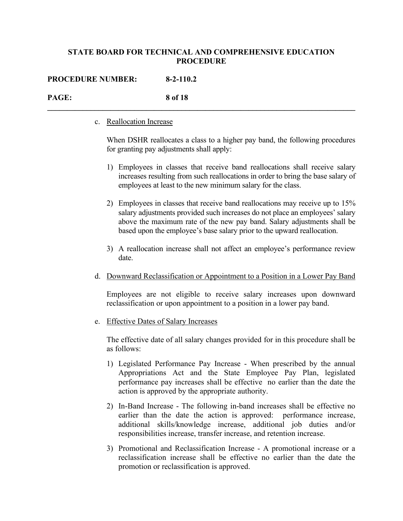**\_\_\_\_\_\_\_\_\_\_\_\_\_\_\_\_\_\_\_\_\_\_\_\_\_\_\_\_\_\_\_\_\_\_\_\_\_\_\_\_\_\_\_\_\_\_\_\_\_\_\_\_\_\_\_\_\_\_\_\_\_\_\_\_\_\_\_\_\_\_\_\_\_\_\_\_\_\_**

#### **PROCEDURE NUMBER: 8-2-110.2**

# **PAGE: 8 of 18**

#### c. Reallocation Increase

When DSHR reallocates a class to a higher pay band, the following procedures for granting pay adjustments shall apply:

- 1) Employees in classes that receive band reallocations shall receive salary increases resulting from such reallocations in order to bring the base salary of employees at least to the new minimum salary for the class.
- 2) Employees in classes that receive band reallocations may receive up to 15% salary adjustments provided such increases do not place an employees' salary above the maximum rate of the new pay band. Salary adjustments shall be based upon the employee's base salary prior to the upward reallocation.
- 3) A reallocation increase shall not affect an employee's performance review date.
- d. Downward Reclassification or Appointment to a Position in a Lower Pay Band

Employees are not eligible to receive salary increases upon downward reclassification or upon appointment to a position in a lower pay band.

e. Effective Dates of Salary Increases

The effective date of all salary changes provided for in this procedure shall be as follows:

- 1) Legislated Performance Pay Increase When prescribed by the annual Appropriations Act and the State Employee Pay Plan, legislated performance pay increases shall be effective no earlier than the date the action is approved by the appropriate authority.
- 2) In-Band Increase The following in-band increases shall be effective no earlier than the date the action is approved: performance increase, additional skills/knowledge increase, additional job duties and/or responsibilities increase, transfer increase, and retention increase.
- 3) Promotional and Reclassification Increase A promotional increase or a reclassification increase shall be effective no earlier than the date the promotion or reclassification is approved.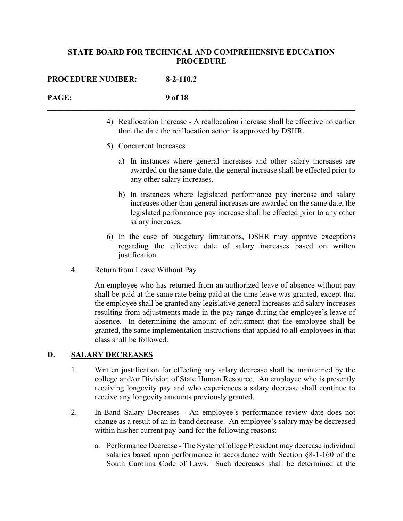**\_\_\_\_\_\_\_\_\_\_\_\_\_\_\_\_\_\_\_\_\_\_\_\_\_\_\_\_\_\_\_\_\_\_\_\_\_\_\_\_\_\_\_\_\_\_\_\_\_\_\_\_\_\_\_\_\_\_\_\_\_\_\_\_\_\_\_\_\_\_\_\_\_\_\_\_\_\_**

#### **PROCEDURE NUMBER: 8-2-110.2**

# **PAGE: 9 of 18**

- 4) Reallocation Increase A reallocation increase shall be effective no earlier than the date the reallocation action is approved by DSHR.
- 5) Concurrent Increases
	- a) In instances where general increases and other salary increases are awarded on the same date, the general increase shall be effected prior to any other salary increases.
	- b) In instances where legislated performance pay increase and salary increases other than general increases are awarded on the same date, the legislated performance pay increase shall be effected prior to any other salary increases.
- 6) In the case of budgetary limitations, DSHR may approve exceptions regarding the effective date of salary increases based on written justification.
- 4. Return from Leave Without Pay

An employee who has returned from an authorized leave of absence without pay shall be paid at the same rate being paid at the time leave was granted, except that the employee shall be granted any legislative general increases and salary increases resulting from adjustments made in the pay range during the employee's leave of absence. In determining the amount of adjustment that the employee shall be granted, the same implementation instructions that applied to all employees in that class shall be followed.

# **D. SALARY DECREASES**

- 1. Written justification for effecting any salary decrease shall be maintained by the college and/or Division of State Human Resource. An employee who is presently receiving longevity pay and who experiences a salary decrease shall continue to receive any longevity amounts previously granted.
- 2. In-Band Salary Decreases An employee's performance review date does not change as a result of an in-band decrease. An employee's salary may be decreased within his/her current pay band for the following reasons:
	- a. Performance Decrease The System/College President may decrease individual salaries based upon performance in accordance with Section §8-1-160 of the South Carolina Code of Laws. Such decreases shall be determined at the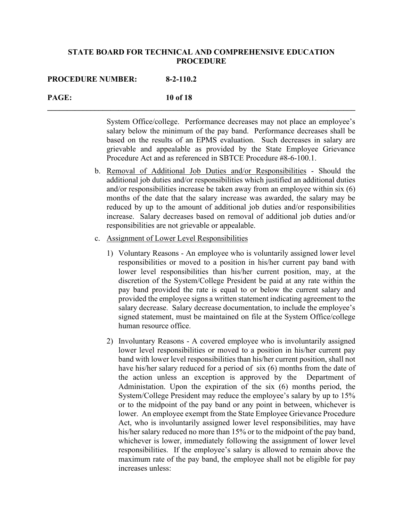**\_\_\_\_\_\_\_\_\_\_\_\_\_\_\_\_\_\_\_\_\_\_\_\_\_\_\_\_\_\_\_\_\_\_\_\_\_\_\_\_\_\_\_\_\_\_\_\_\_\_\_\_\_\_\_\_\_\_\_\_\_\_\_\_\_\_\_\_\_\_\_\_\_\_\_\_\_\_**

#### **PROCEDURE NUMBER: 8-2-110.2**

#### **PAGE: 10 of 18**

System Office/college. Performance decreases may not place an employee's salary below the minimum of the pay band. Performance decreases shall be based on the results of an EPMS evaluation. Such decreases in salary are grievable and appealable as provided by the State Employee Grievance Procedure Act and as referenced in SBTCE Procedure #8-6-100.1.

- b. Removal of Additional Job Duties and/or Responsibilities Should the additional job duties and/or responsibilities which justified an additional duties and/or responsibilities increase be taken away from an employee within six (6) months of the date that the salary increase was awarded, the salary may be reduced by up to the amount of additional job duties and/or responsibilities increase. Salary decreases based on removal of additional job duties and/or responsibilities are not grievable or appealable.
- c. Assignment of Lower Level Responsibilities
	- 1) Voluntary Reasons An employee who is voluntarily assigned lower level responsibilities or moved to a position in his/her current pay band with lower level responsibilities than his/her current position, may, at the discretion of the System/College President be paid at any rate within the pay band provided the rate is equal to or below the current salary and provided the employee signs a written statement indicating agreement to the salary decrease. Salary decrease documentation, to include the employee's signed statement, must be maintained on file at the System Office/college human resource office.
	- 2) Involuntary Reasons A covered employee who is involuntarily assigned lower level responsibilities or moved to a position in his/her current pay band with lower level responsibilities than his/her current position, shall not have his/her salary reduced for a period of six (6) months from the date of the action unless an exception is approved by the Department of Administation. Upon the expiration of the six (6) months period, the System/College President may reduce the employee's salary by up to 15% or to the midpoint of the pay band or any point in between, whichever is lower. An employee exempt from the State Employee Grievance Procedure Act, who is involuntarily assigned lower level responsibilities, may have his/her salary reduced no more than 15% or to the midpoint of the pay band, whichever is lower, immediately following the assignment of lower level responsibilities. If the employee's salary is allowed to remain above the maximum rate of the pay band, the employee shall not be eligible for pay increases unless: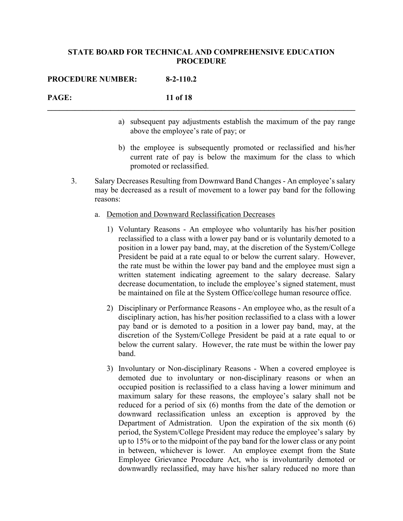**\_\_\_\_\_\_\_\_\_\_\_\_\_\_\_\_\_\_\_\_\_\_\_\_\_\_\_\_\_\_\_\_\_\_\_\_\_\_\_\_\_\_\_\_\_\_\_\_\_\_\_\_\_\_\_\_\_\_\_\_\_\_\_\_\_\_\_\_\_\_\_\_\_\_\_\_\_\_**

| <b>PROCEDURE NUMBER:</b> | $8-2-110.2$ |
|--------------------------|-------------|
|--------------------------|-------------|

# **PAGE: 11 of 18**

- a) subsequent pay adjustments establish the maximum of the pay range above the employee's rate of pay; or
- b) the employee is subsequently promoted or reclassified and his/her current rate of pay is below the maximum for the class to which promoted or reclassified.
- 3. Salary Decreases Resulting from Downward Band Changes An employee's salary may be decreased as a result of movement to a lower pay band for the following reasons:
	- a. Demotion and Downward Reclassification Decreases
		- 1) Voluntary Reasons An employee who voluntarily has his/her position reclassified to a class with a lower pay band or is voluntarily demoted to a position in a lower pay band, may, at the discretion of the System/College President be paid at a rate equal to or below the current salary. However, the rate must be within the lower pay band and the employee must sign a written statement indicating agreement to the salary decrease. Salary decrease documentation, to include the employee's signed statement, must be maintained on file at the System Office/college human resource office.
		- 2) Disciplinary or Performance Reasons An employee who, as the result of a disciplinary action, has his/her position reclassified to a class with a lower pay band or is demoted to a position in a lower pay band, may, at the discretion of the System/College President be paid at a rate equal to or below the current salary. However, the rate must be within the lower pay band.
		- 3) Involuntary or Non-disciplinary Reasons When a covered employee is demoted due to involuntary or non-disciplinary reasons or when an occupied position is reclassified to a class having a lower minimum and maximum salary for these reasons, the employee's salary shall not be reduced for a period of six (6) months from the date of the demotion or downward reclassification unless an exception is approved by the Department of Admistration. Upon the expiration of the six month (6) period, the System/College President may reduce the employee's salary by up to 15% or to the midpoint of the pay band for the lower class or any point in between, whichever is lower. An employee exempt from the State Employee Grievance Procedure Act, who is involuntarily demoted or downwardly reclassified, may have his/her salary reduced no more than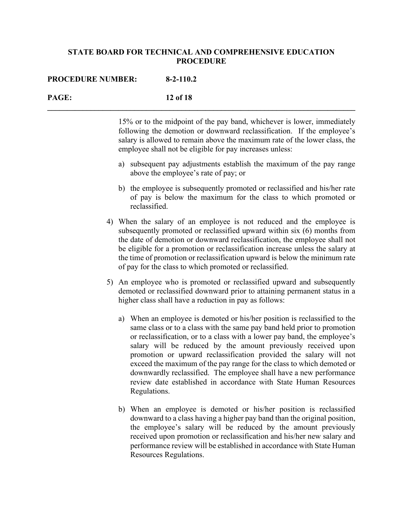**\_\_\_\_\_\_\_\_\_\_\_\_\_\_\_\_\_\_\_\_\_\_\_\_\_\_\_\_\_\_\_\_\_\_\_\_\_\_\_\_\_\_\_\_\_\_\_\_\_\_\_\_\_\_\_\_\_\_\_\_\_\_\_\_\_\_\_\_\_\_\_\_\_\_\_\_\_\_**

#### **PROCEDURE NUMBER: 8-2-110.2**

## **PAGE: 12 of 18**

15% or to the midpoint of the pay band, whichever is lower, immediately following the demotion or downward reclassification. If the employee's salary is allowed to remain above the maximum rate of the lower class, the employee shall not be eligible for pay increases unless:

- a) subsequent pay adjustments establish the maximum of the pay range above the employee's rate of pay; or
- b) the employee is subsequently promoted or reclassified and his/her rate of pay is below the maximum for the class to which promoted or reclassified.
- 4) When the salary of an employee is not reduced and the employee is subsequently promoted or reclassified upward within six (6) months from the date of demotion or downward reclassification, the employee shall not be eligible for a promotion or reclassification increase unless the salary at the time of promotion or reclassification upward is below the minimum rate of pay for the class to which promoted or reclassified.
- 5) An employee who is promoted or reclassified upward and subsequently demoted or reclassified downward prior to attaining permanent status in a higher class shall have a reduction in pay as follows:
	- a) When an employee is demoted or his/her position is reclassified to the same class or to a class with the same pay band held prior to promotion or reclassification, or to a class with a lower pay band, the employee's salary will be reduced by the amount previously received upon promotion or upward reclassification provided the salary will not exceed the maximum of the pay range for the class to which demoted or downwardly reclassified. The employee shall have a new performance review date established in accordance with State Human Resources Regulations.
	- b) When an employee is demoted or his/her position is reclassified downward to a class having a higher pay band than the original position, the employee's salary will be reduced by the amount previously received upon promotion or reclassification and his/her new salary and performance review will be established in accordance with State Human Resources Regulations.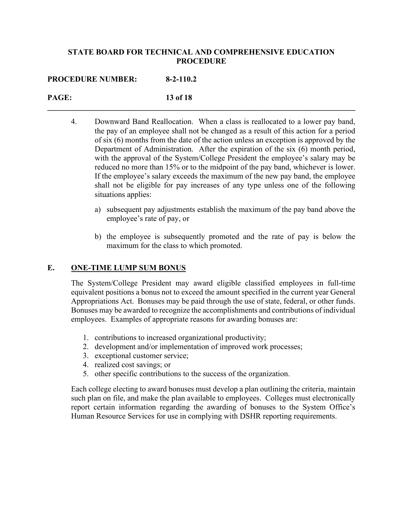**\_\_\_\_\_\_\_\_\_\_\_\_\_\_\_\_\_\_\_\_\_\_\_\_\_\_\_\_\_\_\_\_\_\_\_\_\_\_\_\_\_\_\_\_\_\_\_\_\_\_\_\_\_\_\_\_\_\_\_\_\_\_\_\_\_\_\_\_\_\_\_\_\_\_\_\_\_\_**

#### **PROCEDURE NUMBER: 8-2-110.2**

# **PAGE: 13 of 18**

- 4. Downward Band Reallocation. When a class is reallocated to a lower pay band, the pay of an employee shall not be changed as a result of this action for a period of six (6) months from the date of the action unless an exception is approved by the Department of Administration. After the expiration of the six (6) month period, with the approval of the System/College President the employee's salary may be reduced no more than 15% or to the midpoint of the pay band, whichever is lower. If the employee's salary exceeds the maximum of the new pay band, the employee shall not be eligible for pay increases of any type unless one of the following situations applies:
	- a) subsequent pay adjustments establish the maximum of the pay band above the employee's rate of pay, or
	- b) the employee is subsequently promoted and the rate of pay is below the maximum for the class to which promoted.

## **E. ONE-TIME LUMP SUM BONUS**

The System/College President may award eligible classified employees in full-time equivalent positions a bonus not to exceed the amount specified in the current year General Appropriations Act. Bonuses may be paid through the use of state, federal, or other funds. Bonuses may be awarded to recognize the accomplishments and contributions of individual employees. Examples of appropriate reasons for awarding bonuses are:

- 1. contributions to increased organizational productivity;
- 2. development and/or implementation of improved work processes;
- 3. exceptional customer service;
- 4. realized cost savings; or
- 5. other specific contributions to the success of the organization.

Each college electing to award bonuses must develop a plan outlining the criteria, maintain such plan on file, and make the plan available to employees. Colleges must electronically report certain information regarding the awarding of bonuses to the System Office's Human Resource Services for use in complying with DSHR reporting requirements.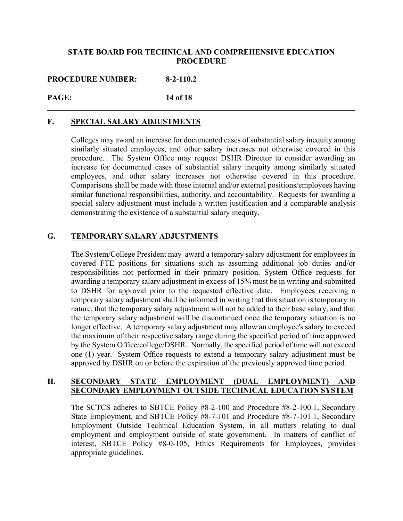**\_\_\_\_\_\_\_\_\_\_\_\_\_\_\_\_\_\_\_\_\_\_\_\_\_\_\_\_\_\_\_\_\_\_\_\_\_\_\_\_\_\_\_\_\_\_\_\_\_\_\_\_\_\_\_\_\_\_\_\_\_\_\_\_\_\_\_\_\_\_\_\_\_\_\_\_\_\_**

**PROCEDURE NUMBER: 8-2-110.2**

# **PAGE: 14 of 18**

## **F. SPECIAL SALARY ADJUSTMENTS**

Colleges may award an increase for documented cases of substantial salary inequity among similarly situated employees, and other salary increases not otherwise covered in this procedure. The System Office may request DSHR Director to consider awarding an increase for documented cases of substantial salary inequity among similarly situated employees, and other salary increases not otherwise covered in this procedure. Comparisons shall be made with those internal and/or external positions/employees having similar functional responsibilities, authority, and accountability. Requests for awarding a special salary adjustment must include a written justification and a comparable analysis demonstrating the existence of a substantial salary inequity.

# **G. TEMPORARY SALARY ADJUSTMENTS**

The System/College President may award a temporary salary adjustment for employees in covered FTE positions for situations such as assuming additional job duties and/or responsibilities not performed in their primary position. System Office requests for awarding a temporary salary adjustment in excess of 15% must be in writing and submitted to DSHR for approval prior to the requested effective date. Employees receiving a temporary salary adjustment shall be informed in writing that this situation is temporary in nature, that the temporary salary adjustment will not be added to their base salary, and that the temporary salary adjustment will be discontinued once the temporary situation is no longer effective. A temporary salary adjustment may allow an employee's salary to exceed the maximum of their respective salary range during the specified period of time approved by the System Office/college/DSHR. Normally, the specified period of time will not exceed one (1) year. System Office requests to extend a temporary salary adjustment must be approved by DSHR on or before the expiration of the previously approved time period.

#### **H. SECONDARY STATE EMPLOYMENT (DUAL EMPLOYMENT) AND SECONDARY EMPLOYMENT OUTSIDE TECHNICAL EDUCATION SYSTEM**

The SCTCS adheres to SBTCE Policy #8-2-100 and Procedure #8-2-100.1, Secondary State Employment, and SBTCE Policy #8-7-101 and Procedure #8-7-101.1, Secondary Employment Outside Technical Education System, in all matters relating to dual employment and employment outside of state government. In matters of conflict of interest, SBTCE Policy #8-0-105, Ethics Requirements for Employees, provides appropriate guidelines.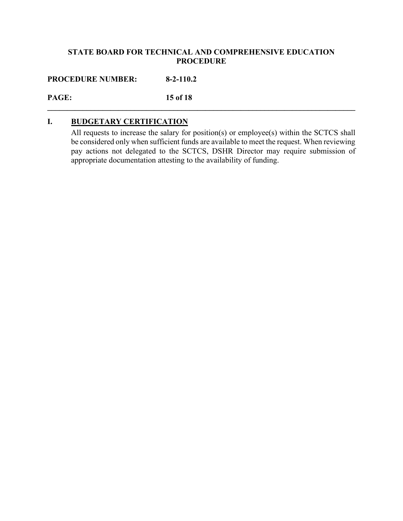**\_\_\_\_\_\_\_\_\_\_\_\_\_\_\_\_\_\_\_\_\_\_\_\_\_\_\_\_\_\_\_\_\_\_\_\_\_\_\_\_\_\_\_\_\_\_\_\_\_\_\_\_\_\_\_\_\_\_\_\_\_\_\_\_\_\_\_\_\_\_\_\_\_\_\_\_\_\_**

**PROCEDURE NUMBER: 8-2-110.2**

**PAGE: 15 of 18**

# **I. BUDGETARY CERTIFICATION**

All requests to increase the salary for position(s) or employee(s) within the SCTCS shall be considered only when sufficient funds are available to meet the request. When reviewing pay actions not delegated to the SCTCS, DSHR Director may require submission of appropriate documentation attesting to the availability of funding.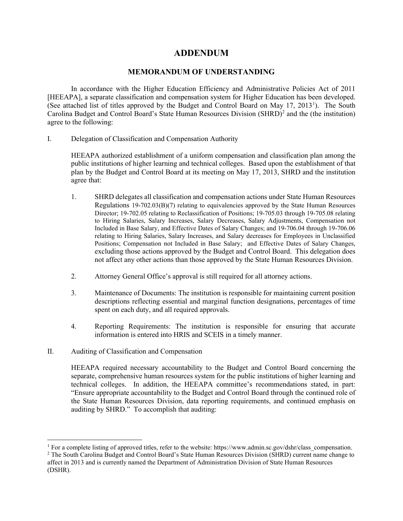# **ADDENDUM**

#### **MEMORANDUM OF UNDERSTANDING**

In accordance with the Higher Education Efficiency and Administrative Policies Act of 2011 [HEEAPA], a separate classification and compensation system for Higher Education has been developed. (See attached list of titles approved by the Budget and Control Board on May [1](#page-15-0)7, 2013<sup>1</sup>). The South Carolina Budget and Control Board's State Human Resources Division  $(SHRD)^2$  $(SHRD)^2$  and the (the institution) agree to the following:

I. Delegation of Classification and Compensation Authority

HEEAPA authorized establishment of a uniform compensation and classification plan among the public institutions of higher learning and technical colleges. Based upon the establishment of that plan by the Budget and Control Board at its meeting on May 17, 2013, SHRD and the institution agree that:

- 1. SHRD delegates all classification and compensation actions under State Human Resources Regulations 19-702.03(B)(7) relating to equivalencies approved by the State Human Resources Director; 19-702.05 relating to Reclassification of Positions; 19-705.03 through 19-705.08 relating to Hiring Salaries, Salary Increases, Salary Decreases, Salary Adjustments, Compensation not Included in Base Salary, and Effective Dates of Salary Changes; and 19-706.04 through 19-706.06 relating to Hiring Salaries, Salary Increases, and Salary decreases for Employees in Unclassified Positions; Compensation not Included in Base Salary; and Effective Dates of Salary Changes, excluding those actions approved by the Budget and Control Board. This delegation does not affect any other actions than those approved by the State Human Resources Division.
- 2. Attorney General Office's approval is still required for all attorney actions.
- 3. Maintenance of Documents: The institution is responsible for maintaining current position descriptions reflecting essential and marginal function designations, percentages of time spent on each duty, and all required approvals.
- 4. Reporting Requirements: The institution is responsible for ensuring that accurate information is entered into HRIS and SCEIS in a timely manner.
- II. Auditing of Classification and Compensation

HEEAPA required necessary accountability to the Budget and Control Board concerning the separate, comprehensive human resources system for the public institutions of higher learning and technical colleges. In addition, the HEEAPA committee's recommendations stated, in part: "Ensure appropriate accountability to the Budget and Control Board through the continued role of the State Human Resources Division, data reporting requirements, and continued emphasis on auditing by SHRD." To accomplish that auditing:

<span id="page-15-0"></span><sup>&</sup>lt;sup>1</sup> For a complete listing of approved titles, refer to the website: https://www.admin.sc.gov/dshr/class\_compensation.

<span id="page-15-1"></span><sup>&</sup>lt;sup>2</sup> The South Carolina Budget and Control Board's State Human Resources Division (SHRD) current name change to affect in 2013 and is currently named the Department of Administration Division of State Human Resources (DSHR).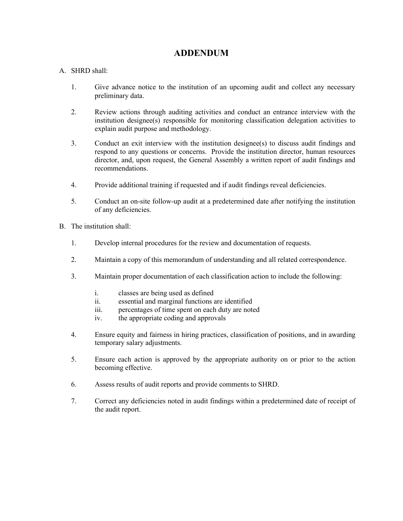# **ADDENDUM**

#### A. SHRD shall:

- 1. Give advance notice to the institution of an upcoming audit and collect any necessary preliminary data.
- 2. Review actions through auditing activities and conduct an entrance interview with the institution designee(s) responsible for monitoring classification delegation activities to explain audit purpose and methodology.
- 3. Conduct an exit interview with the institution designee(s) to discuss audit findings and respond to any questions or concerns. Provide the institution director, human resources director, and, upon request, the General Assembly a written report of audit findings and recommendations.
- 4. Provide additional training if requested and if audit findings reveal deficiencies.
- 5. Conduct an on-site follow-up audit at a predetermined date after notifying the institution of any deficiencies.
- B. The institution shall:
	- 1. Develop internal procedures for the review and documentation of requests.
	- 2. Maintain a copy of this memorandum of understanding and all related correspondence.
	- 3. Maintain proper documentation of each classification action to include the following:
		- i. classes are being used as defined
		- ii. essential and marginal functions are identified
		- iii. percentages of time spent on each duty are noted
		- iv. the appropriate coding and approvals
	- 4. Ensure equity and fairness in hiring practices, classification of positions, and in awarding temporary salary adjustments.
	- 5. Ensure each action is approved by the appropriate authority on or prior to the action becoming effective.
	- 6. Assess results of audit reports and provide comments to SHRD.
	- 7. Correct any deficiencies noted in audit findings within a predetermined date of receipt of the audit report.